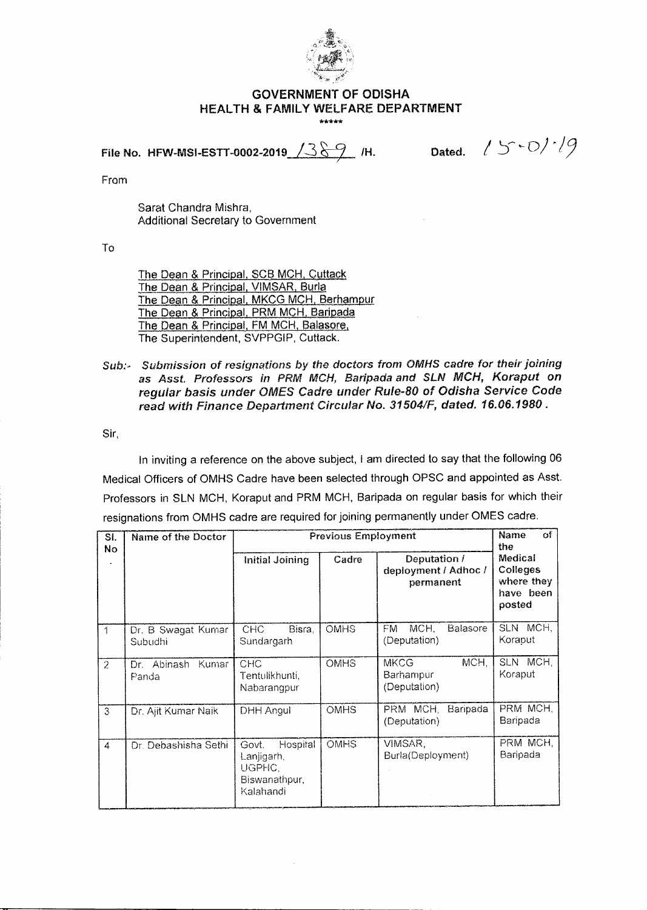

## **GOVERNMENT OF ODISHA HEALTH & FAMILY WELFARE DEPARTMENT**  \*\*\*\*\*

File No. HFW-MSI-ESTT-0002-2019  $\sqrt{389}$  /H.

Dated.  $/5 - O$ / $/9$ 

From

Sarat Chandra Mishra, Additional Secretary to Government

To

The Dean & Principal, SCB MCH, Cuttack The Dean & Principal, VIMSAR, Burla The Dean & Principal, MKCG MCH, Berhampur The Dean & Principal, PRM MCH, Baripada The Dean & Principal, FM MCH, Balasore, The Superintendent, SVPPGIP, Cuttack.

## Sub:- Submission of resignations by the doctors from OMHS cadre for their joining as Asst. Professors in PRM MCH, Baripada and SLN MCH, Koraput on regular basis under OMES Cadre under Rule-80 of Odisha Service Code read with Finance Department Circular No. 31504/F, dated. 16.06.1980 .

Sir,

In inviting a reference on the above subject, I am directed to say that the following 06 Medical Officers of OMHS Cadre have been selected through OPSC and appointed as Asst. Professors in SLN MCH, Koraput and PRM MCH, Baripada on regular basis for which their resignations from OMHS cadre are required for joining permanently under OMES cadre.

| SI.<br>Nο        | Name of the Doctor            | <b>Previous Employment</b>                                                    | of<br>Name<br>the |                                                          |                      |
|------------------|-------------------------------|-------------------------------------------------------------------------------|-------------------|----------------------------------------------------------|----------------------|
|                  |                               | Deputation /<br>Cadre<br>Initial Joining<br>deployment / Adhoc /<br>permanent |                   | Medical<br>Colleges<br>where they<br>have been<br>posted |                      |
| 1                | Dr. B Swagat Kumar<br>Subudhi | <b>CHC</b><br>Bisra.<br>Sundargarh                                            | <b>OMHS</b>       | MCH.<br><b>Balasore</b><br>FM.<br>(Deputation)           | SLN MCH,<br>Koraput  |
| 2                | Dr. Abinash Kumar<br>Panda    | CHC<br>Tentulikhunti.<br>Nabarangpur                                          | <b>OMHS</b>       | MCH.<br><b>MKCG</b><br>Barhampur<br>(Deputation)         | SLN MCH.<br>Koraput  |
| 3                | Dr. Ajit Kumar Naik           | DHH Angul                                                                     | <b>OMHS</b>       | PRM MCH.<br>Baripada<br>(Deputation)                     | PRM MCH.<br>Baripada |
| $\boldsymbol{4}$ | Dr. Debashisha Sethi          | Hospital<br>Govt.<br>Lanjigarh,<br>UGPHC.<br>Biswanathpur.<br>Kalahandi       | <b>OMHS</b>       | VIMSAR,<br>Burla(Deployment)                             | PRM MCH,<br>Baripada |